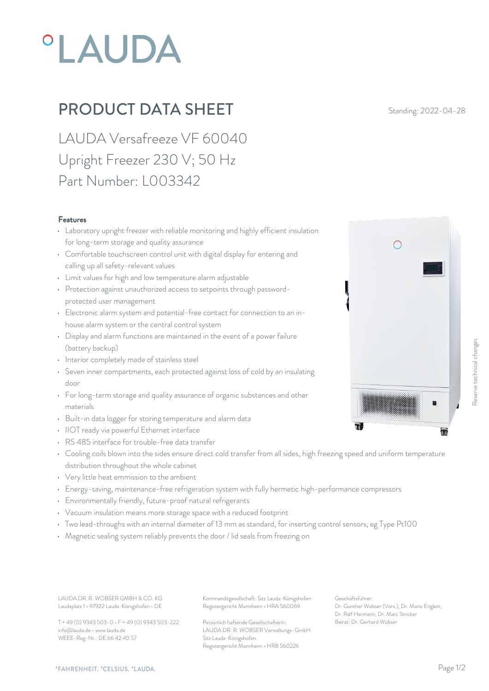# **°LAUDA**

## **PRODUCT DATA SHEET** Standing: 2022-04-28

LAUDA Versafreeze VF 60040 Upright Freezer 230 V; 50 Hz Part Number: L003342

#### Features

- Laboratory upright freezer with reliable monitoring and highly efficient insulation for long-term storage and quality assurance
- Comfortable touchscreen control unit with digital display for entering and calling up all safety-relevant values
- Limit values for high and low temperature alarm adjustable
- Protection against unauthorized access to setpoints through passwordprotected user management
- Electronic alarm system and potential-free contact for connection to an inhouse alarm system or the central control system
- Display and alarm functions are maintained in the event of a power failure (battery backup)
- Interior completely made of stainless steel
- Seven inner compartments, each protected against loss of cold by an insulating door
- For long-term storage and quality assurance of organic substances and other materials
- Built-in data logger for storing temperature and alarm data
- IIOT ready via powerful Ethernet interface
- RS 485 interface for trouble-free data transfer
- Cooling coils blown into the sides ensure direct cold transfer from all sides, high freezing speed and uniform temperature distribution throughout the whole cabinet
- Very little heat emmission to the ambient
- Energy-saving, maintenance-free refrigeration system with fully hermetic high-performance compressors
- Environmentally friendly, future-proof natural refrigerants
- Vacuum insulation means more storage space with a reduced footprint
- Two lead-throughs with an internal diameter of 13 mm as standard, for inserting control sensors, eg Type Pt100
- Magnetic sealing system reliably prevents the door / lid seals from freezing on

Laudaplatz 1 • 97922 Lauda-Königshofen • DE

T + 49 (0) 9343 503-0 • F + 49 (0) 9343 503-222 info@lauda.de • www.lauda.de WEEE-Reg-Nr.: DE 66 42 40 57

LAUDA DR. R. WOBSER GMBH & CO. KG Kommanditgesellschaft: Sitz Lauda-Königshofen Geschäftsführer: Registergericht Mannheim • HRA 560069

> Persönlich haftende Gesellschafterin: Beirat: Dr. Gerhard Wobse LAUDA DR. R. WOBSER Verwaltungs-GmbH Sitz Lauda-Königshofen Registergericht Mannheim • HRB 560226

Geschäftsführer: Dr. Gunther Wobser (Vors.), Dr. Mario Englert, Dr. Ralf Hermann, Dr. Marc Stricker Beschäftsführer:<br>Beischäftsführer:<br>Dr. Gerhard Wobser (Vors.), Dr. Mario Englert,<br>Beischäftsführer:<br>Dr. Genther Wobser (Vors.), Dr. Mario Englert,<br>Dr. Raf Hermann, D. M. Marc Stricker<br>Deirat: Dr. Gerhard Wobser